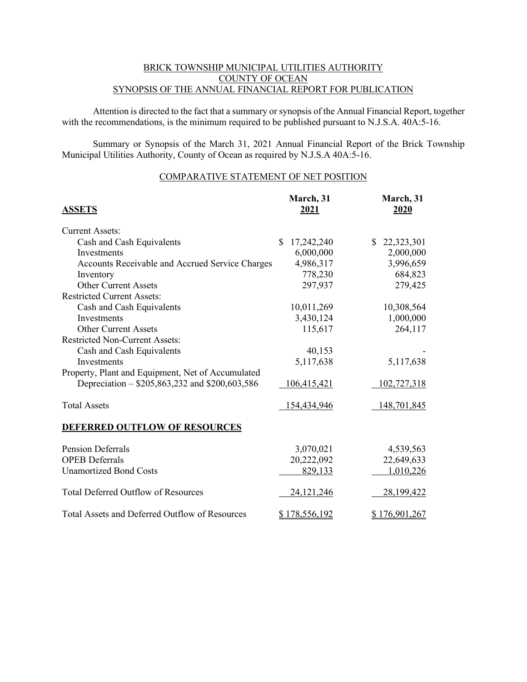#### BRICK TOWNSHIP MUNICIPAL UTILITIES AUTHORITY COUNTY OF OCEAN SYNOPSIS OF THE ANNUAL FINANCIAL REPORT FOR PUBLICATION

Attention is directed to the fact that a summary or synopsis of the Annual Financial Report, together with the recommendations, is the minimum required to be published pursuant to N.J.S.A. 40A:5-16.

Summary or Synopsis of the March 31, 2021 Annual Financial Report of the Brick Township Municipal Utilities Authority, County of Ocean as required by N.J.S.A 40A:5-16.

### COMPARATIVE STATEMENT OF NET POSITION

| <b>ASSETS</b>                                     | March, 31<br>2021    | March, 31<br>2020 |
|---------------------------------------------------|----------------------|-------------------|
| <b>Current Assets:</b>                            |                      |                   |
| Cash and Cash Equivalents                         | 17,242,240<br>\$     | 22,323,301<br>\$. |
| Investments                                       | 6,000,000            | 2,000,000         |
| Accounts Receivable and Accrued Service Charges   | 4,986,317            | 3,996,659         |
| Inventory                                         | 778,230              | 684,823           |
| <b>Other Current Assets</b>                       | 297,937              | 279,425           |
| <b>Restricted Current Assets:</b>                 |                      |                   |
| Cash and Cash Equivalents                         | 10,011,269           | 10,308,564        |
| Investments                                       | 3,430,124            | 1,000,000         |
| <b>Other Current Assets</b>                       | 115,617              | 264,117           |
| <b>Restricted Non-Current Assets:</b>             |                      |                   |
| Cash and Cash Equivalents                         | 40,153               |                   |
| Investments                                       | 5,117,638            | 5,117,638         |
| Property, Plant and Equipment, Net of Accumulated |                      |                   |
| Depreciation - \$205,863,232 and \$200,603,586    | 106,415,421          | 102,727,318       |
| <b>Total Assets</b>                               | 154,434,946          | 148,701,845       |
| <b>DEFERRED OUTFLOW OF RESOURCES</b>              |                      |                   |
| <b>Pension Deferrals</b>                          | 3,070,021            | 4,539,563         |
| <b>OPEB</b> Deferrals                             | 20,222,092           | 22,649,633        |
| <b>Unamortized Bond Costs</b>                     | 829,133              | 1,010,226         |
| <b>Total Deferred Outflow of Resources</b>        | 24, 121, 246         | 28,199,422        |
| Total Assets and Deferred Outflow of Resources    | <u>\$178,556,192</u> | \$176,901,267     |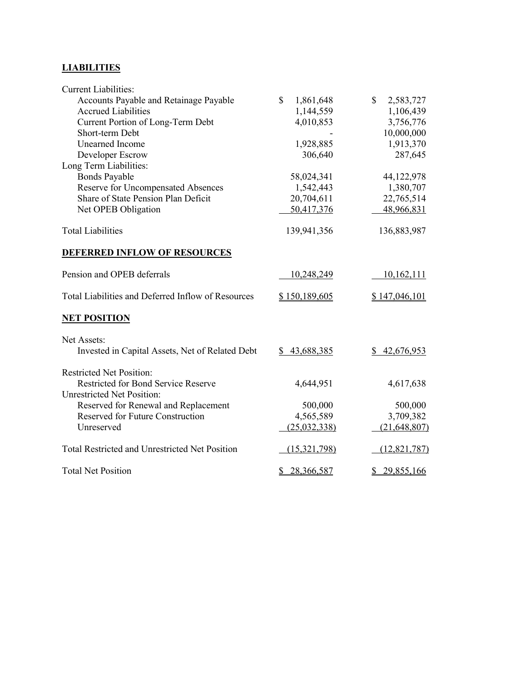# **LIABILITIES**

| <b>Current Liabilities:</b>                           |                 |                           |
|-------------------------------------------------------|-----------------|---------------------------|
| Accounts Payable and Retainage Payable                | \$<br>1,861,648 | $\mathbb{S}$<br>2,583,727 |
| <b>Accrued Liabilities</b>                            | 1,144,559       | 1,106,439                 |
| Current Portion of Long-Term Debt                     | 4,010,853       | 3,756,776                 |
| Short-term Debt                                       |                 | 10,000,000                |
| <b>Unearned Income</b>                                | 1,928,885       | 1,913,370                 |
| Developer Escrow                                      | 306,640         | 287,645                   |
| Long Term Liabilities:                                |                 |                           |
| <b>Bonds Payable</b>                                  | 58,024,341      | 44,122,978                |
| Reserve for Uncompensated Absences                    | 1,542,443       | 1,380,707                 |
| Share of State Pension Plan Deficit                   | 20,704,611      | 22,765,514                |
| Net OPEB Obligation                                   | 50,417,376      | 48,966,831                |
| <b>Total Liabilities</b>                              | 139,941,356     | 136,883,987               |
| <b>DEFERRED INFLOW OF RESOURCES</b>                   |                 |                           |
| Pension and OPEB deferrals                            | 10,248,249      | 10,162,111                |
| Total Liabilities and Deferred Inflow of Resources    | \$150,189,605   | \$147,046,101             |
| <b>NET POSITION</b>                                   |                 |                           |
| Net Assets:                                           |                 |                           |
| Invested in Capital Assets, Net of Related Debt       | \$43,688,385    | \$42,676,953              |
| <b>Restricted Net Position:</b>                       |                 |                           |
| Restricted for Bond Service Reserve                   | 4,644,951       | 4,617,638                 |
| <b>Unrestricted Net Position:</b>                     |                 |                           |
| Reserved for Renewal and Replacement                  | 500,000         | 500,000                   |
| <b>Reserved for Future Construction</b>               | 4,565,589       | 3,709,382                 |
| Unreserved                                            | (25,032,338)    | (21, 648, 807)            |
| <b>Total Restricted and Unrestricted Net Position</b> | (15,321,798)    | (12, 821, 787)            |
| <b>Total Net Position</b>                             | \$28,366,587    | \$29,855,166              |
|                                                       |                 |                           |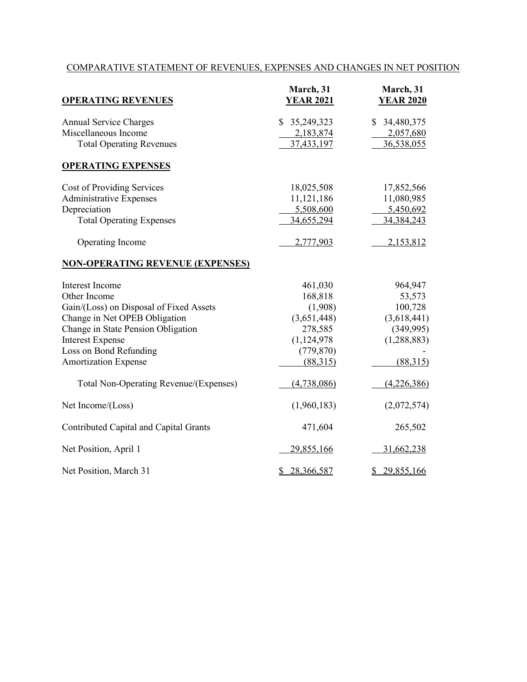## COMPARATIVE STATEMENT OF REVENUES, EXPENSES AND CHANGES IN NET POSITION

| <b>OPERATING REVENUES</b>               | March, 31<br><b>YEAR 2021</b> | March, 31<br><b>YEAR 2020</b> |
|-----------------------------------------|-------------------------------|-------------------------------|
| <b>Annual Service Charges</b>           | 35,249,323<br>\$.             | \$ 34,480,375                 |
| Miscellaneous Income                    | 2,183,874                     | 2,057,680                     |
| <b>Total Operating Revenues</b>         | 37,433,197                    | 36,538,055                    |
| <b>OPERATING EXPENSES</b>               |                               |                               |
| Cost of Providing Services              | 18,025,508                    | 17,852,566                    |
| <b>Administrative Expenses</b>          | 11,121,186                    | 11,080,985                    |
| Depreciation                            | 5,508,600                     | 5,450,692                     |
| <b>Total Operating Expenses</b>         | 34,655,294                    | 34, 384, 243                  |
| Operating Income                        | 2,777,903                     | 2,153,812                     |
| <b>NON-OPERATING REVENUE (EXPENSES)</b> |                               |                               |
| Interest Income                         | 461,030                       | 964,947                       |
| Other Income                            | 168,818                       | 53,573                        |
| Gain/(Loss) on Disposal of Fixed Assets | (1,908)                       | 100,728                       |
| Change in Net OPEB Obligation           | (3,651,448)                   | (3,618,441)                   |
| Change in State Pension Obligation      | 278,585                       | (349,995)                     |
| <b>Interest Expense</b>                 | (1,124,978)                   | (1,288,883)                   |
| Loss on Bond Refunding                  | (779, 870)                    |                               |
| <b>Amortization Expense</b>             | (88,315)                      | (88,315)                      |
| Total Non-Operating Revenue/(Expenses)  | (4,738,086)                   | (4,226,386)                   |
| Net Income/(Loss)                       | (1,960,183)                   | (2,072,574)                   |
| Contributed Capital and Capital Grants  | 471,604                       | 265,502                       |
| Net Position, April 1                   | 29,855,166                    | 31,662,238                    |
| Net Position, March 31                  | 28,366,587<br>\$              | \$29,855,166                  |